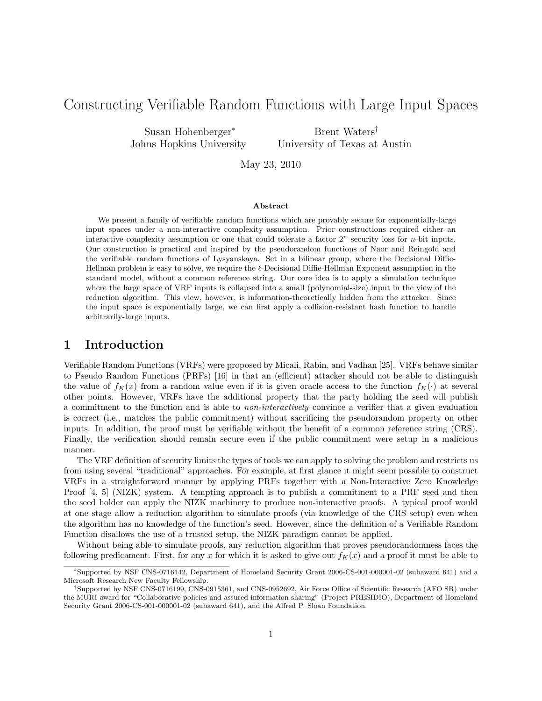# Constructing Verifiable Random Functions with Large Input Spaces

Susan Hohenberger<sup>∗</sup> Johns Hopkins University Brent Waters† University of Texas at Austin

May 23, 2010

#### Abstract

We present a family of verifiable random functions which are provably secure for exponentially-large input spaces under a non-interactive complexity assumption. Prior constructions required either an interactive complexity assumption or one that could tolerate a factor  $2^n$  security loss for *n*-bit inputs. Our construction is practical and inspired by the pseudorandom functions of Naor and Reingold and the verifiable random functions of Lysyanskaya. Set in a bilinear group, where the Decisional Diffie-Hellman problem is easy to solve, we require the  $\ell$ -Decisional Diffie-Hellman Exponent assumption in the standard model, without a common reference string. Our core idea is to apply a simulation technique where the large space of VRF inputs is collapsed into a small (polynomial-size) input in the view of the reduction algorithm. This view, however, is information-theoretically hidden from the attacker. Since the input space is exponentially large, we can first apply a collision-resistant hash function to handle arbitrarily-large inputs.

### 1 Introduction

Verifiable Random Functions (VRFs) were proposed by Micali, Rabin, and Vadhan [25]. VRFs behave similar to Pseudo Random Functions (PRFs) [16] in that an (efficient) attacker should not be able to distinguish the value of  $f_K(x)$  from a random value even if it is given oracle access to the function  $f_K(\cdot)$  at several other points. However, VRFs have the additional property that the party holding the seed will publish a commitment to the function and is able to non-interactively convince a verifier that a given evaluation is correct (i.e., matches the public commitment) without sacrificing the pseudorandom property on other inputs. In addition, the proof must be verifiable without the benefit of a common reference string (CRS). Finally, the verification should remain secure even if the public commitment were setup in a malicious manner.

The VRF definition of security limits the types of tools we can apply to solving the problem and restricts us from using several "traditional" approaches. For example, at first glance it might seem possible to construct VRFs in a straightforward manner by applying PRFs together with a Non-Interactive Zero Knowledge Proof [4, 5] (NIZK) system. A tempting approach is to publish a commitment to a PRF seed and then the seed holder can apply the NIZK machinery to produce non-interactive proofs. A typical proof would at one stage allow a reduction algorithm to simulate proofs (via knowledge of the CRS setup) even when the algorithm has no knowledge of the function's seed. However, since the definition of a Verifiable Random Function disallows the use of a trusted setup, the NIZK paradigm cannot be applied.

Without being able to simulate proofs, any reduction algorithm that proves pseudorandomness faces the following predicament. First, for any x for which it is asked to give out  $f_K(x)$  and a proof it must be able to

<sup>∗</sup>Supported by NSF CNS-0716142, Department of Homeland Security Grant 2006-CS-001-000001-02 (subaward 641) and a Microsoft Research New Faculty Fellowship.

<sup>†</sup>Supported by NSF CNS-0716199, CNS-0915361, and CNS-0952692, Air Force Office of Scientific Research (AFO SR) under the MURI award for "Collaborative policies and assured information sharing" (Project PRESIDIO), Department of Homeland Security Grant 2006-CS-001-000001-02 (subaward 641), and the Alfred P. Sloan Foundation.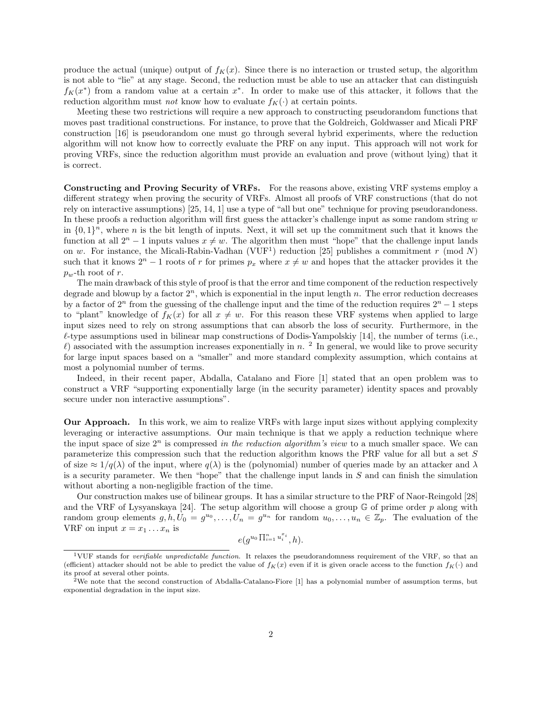produce the actual (unique) output of  $f_K(x)$ . Since there is no interaction or trusted setup, the algorithm is not able to "lie" at any stage. Second, the reduction must be able to use an attacker that can distinguish  $f_K(x^*)$  from a random value at a certain  $x^*$ . In order to make use of this attacker, it follows that the reduction algorithm must *not* know how to evaluate  $f_K(\cdot)$  at certain points.

Meeting these two restrictions will require a new approach to constructing pseudorandom functions that moves past traditional constructions. For instance, to prove that the Goldreich, Goldwasser and Micali PRF construction [16] is pseudorandom one must go through several hybrid experiments, where the reduction algorithm will not know how to correctly evaluate the PRF on any input. This approach will not work for proving VRFs, since the reduction algorithm must provide an evaluation and prove (without lying) that it is correct.

Constructing and Proving Security of VRFs. For the reasons above, existing VRF systems employ a different strategy when proving the security of VRFs. Almost all proofs of VRF constructions (that do not rely on interactive assumptions) [25, 14, 1] use a type of "all but one" technique for proving pseudorandoness. In these proofs a reduction algorithm will first guess the attacker's challenge input as some random string  $w$ in  $\{0,1\}^n$ , where n is the bit length of inputs. Next, it will set up the commitment such that it knows the function at all  $2^{n} - 1$  inputs values  $x \neq w$ . The algorithm then must "hope" that the challenge input lands on w. For instance, the Micali-Rabin-Vadhan (VUF<sup>1</sup>) reduction [25] publishes a commitment r (mod N) such that it knows  $2^{n} - 1$  roots of r for primes  $p_x$  where  $x \neq w$  and hopes that the attacker provides it the  $p_w$ -th root of r.

The main drawback of this style of proof is that the error and time component of the reduction respectively degrade and blowup by a factor  $2^n$ , which is exponential in the input length n. The error reduction decreases by a factor of  $2^n$  from the guessing of the challenge input and the time of the reduction requires  $2^n - 1$  steps to "plant" knowledge of  $f_K(x)$  for all  $x \neq w$ . For this reason these VRF systems when applied to large input sizes need to rely on strong assumptions that can absorb the loss of security. Furthermore, in the  $\ell$ -type assumptions used in bilinear map constructions of Dodis-Yampolskiy [14], the number of terms (i.e.,  $\ell$ ) associated with the assumption increases exponentially in n. <sup>2</sup> In general, we would like to prove security for large input spaces based on a "smaller" and more standard complexity assumption, which contains at most a polynomial number of terms.

Indeed, in their recent paper, Abdalla, Catalano and Fiore [1] stated that an open problem was to construct a VRF "supporting exponentially large (in the security parameter) identity spaces and provably secure under non interactive assumptions".

Our Approach. In this work, we aim to realize VRFs with large input sizes without applying complexity leveraging or interactive assumptions. Our main technique is that we apply a reduction technique where the input space of size  $2^n$  is compressed in the reduction algorithm's view to a much smaller space. We can parameterize this compression such that the reduction algorithm knows the PRF value for all but a set S of size  $\approx 1/q(\lambda)$  of the input, where  $q(\lambda)$  is the (polynomial) number of queries made by an attacker and  $\lambda$ is a security parameter. We then "hope" that the challenge input lands in  $S$  and can finish the simulation without aborting a non-negligible fraction of the time.

Our construction makes use of bilinear groups. It has a similar structure to the PRF of Naor-Reingold [28] and the VRF of Lysyanskaya [24]. The setup algorithm will choose a group  $\mathbb{G}$  of prime order p along with random group elements  $g, h, U_0 = g^{u_0}, \ldots, U_n = g^{u_n}$  for random  $u_0, \ldots, u_n \in \mathbb{Z}_p$ . The evaluation of the VRF on input  $x = x_1 \dots x_n$  is

$$
e(g^{u_0 \prod_{i=1}^n u_i^{x_i}}, h).
$$

<sup>&</sup>lt;sup>1</sup>VUF stands for *verifiable unpredictable function*. It relaxes the pseudorandomness requirement of the VRF, so that an (efficient) attacker should not be able to predict the value of  $f_K(x)$  even if it is given oracle access to the function  $f_K(\cdot)$  and its proof at several other points.

<sup>2</sup>We note that the second construction of Abdalla-Catalano-Fiore [1] has a polynomial number of assumption terms, but exponential degradation in the input size.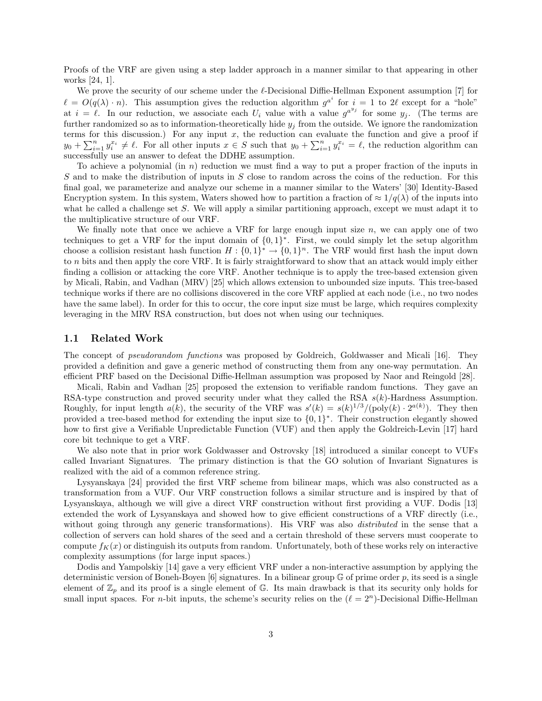Proofs of the VRF are given using a step ladder approach in a manner similar to that appearing in other works [24, 1].

We prove the security of our scheme under the  $\ell$ -Decisional Diffie-Hellman Exponent assumption [7] for  $\ell = O(q(\lambda) \cdot n)$ . This assumption gives the reduction algorithm  $g^{a^i}$  for  $i = 1$  to  $2\ell$  except for a "hole" at  $i = \ell$ . In our reduction, we associate each  $U_i$  value with a value  $g^{a^{y_j}}$  for some  $y_j$ . (The terms are further randomized so as to information-theoretically hide  $y_j$  from the outside. We ignore the randomization terms for this discussion.) For any input  $x$ , the reduction can evaluate the function and give a proof if  $y_0 + \sum_{i=1}^n y_i^{x_i} \neq \ell$ . For all other inputs  $x \in S$  such that  $y_0 + \sum_{i=1}^n y_i^{x_i} = \ell$ , the reduction algorithm can successfully use an answer to defeat the DDHE assumption.

To achieve a polynomial (in  $n$ ) reduction we must find a way to put a proper fraction of the inputs in S and to make the distribution of inputs in S close to random across the coins of the reduction. For this final goal, we parameterize and analyze our scheme in a manner similar to the Waters' [30] Identity-Based Encryption system. In this system, Waters showed how to partition a fraction of  $\approx 1/q(\lambda)$  of the inputs into what he called a challenge set S. We will apply a similar partitioning approach, except we must adapt it to the multiplicative structure of our VRF.

We finally note that once we achieve a VRF for large enough input size  $n$ , we can apply one of two techniques to get a VRF for the input domain of  $\{0,1\}^*$ . First, we could simply let the setup algorithm choose a collision resistant hash function  $H: \{0,1\}^* \to \{0,1\}^n$ . The VRF would first hash the input down to n bits and then apply the core VRF. It is fairly straightforward to show that an attack would imply either finding a collision or attacking the core VRF. Another technique is to apply the tree-based extension given by Micali, Rabin, and Vadhan (MRV) [25] which allows extension to unbounded size inputs. This tree-based technique works if there are no collisions discovered in the core VRF applied at each node (i.e., no two nodes have the same label). In order for this to occur, the core input size must be large, which requires complexity leveraging in the MRV RSA construction, but does not when using our techniques.

#### 1.1 Related Work

The concept of pseudorandom functions was proposed by Goldreich, Goldwasser and Micali [16]. They provided a definition and gave a generic method of constructing them from any one-way permutation. An efficient PRF based on the Decisional Diffie-Hellman assumption was proposed by Naor and Reingold [28].

Micali, Rabin and Vadhan [25] proposed the extension to verifiable random functions. They gave an RSA-type construction and proved security under what they called the RSA  $s(k)$ -Hardness Assumption. Roughly, for input length  $a(k)$ , the security of the VRF was  $s'(k) = s(k)^{1/3}/(\text{poly}(k) \cdot 2^{a(k)})$ . They then provided a tree-based method for extending the input size to  $\{0,1\}^*$ . Their construction elegantly showed how to first give a Verifiable Unpredictable Function (VUF) and then apply the Goldreich-Levin [17] hard core bit technique to get a VRF.

We also note that in prior work Goldwasser and Ostrovsky [18] introduced a similar concept to VUFs called Invariant Signatures. The primary distinction is that the GO solution of Invariant Signatures is realized with the aid of a common reference string.

Lysyanskaya [24] provided the first VRF scheme from bilinear maps, which was also constructed as a transformation from a VUF. Our VRF construction follows a similar structure and is inspired by that of Lysyanskaya, although we will give a direct VRF construction without first providing a VUF. Dodis [13] extended the work of Lysyanskaya and showed how to give efficient constructions of a VRF directly (i.e., without going through any generic transformations). His VRF was also *distributed* in the sense that a collection of servers can hold shares of the seed and a certain threshold of these servers must cooperate to compute  $f_K(x)$  or distinguish its outputs from random. Unfortunately, both of these works rely on interactive complexity assumptions (for large input spaces.)

Dodis and Yampolskiy [14] gave a very efficient VRF under a non-interactive assumption by applying the deterministic version of Boneh-Boyen [6] signatures. In a bilinear group  $\mathbb G$  of prime order p, its seed is a single element of  $\mathbb{Z}_p$  and its proof is a single element of  $\mathbb{G}$ . Its main drawback is that its security only holds for small input spaces. For *n*-bit inputs, the scheme's security relies on the  $(\ell = 2^n)$ -Decisional Diffie-Hellman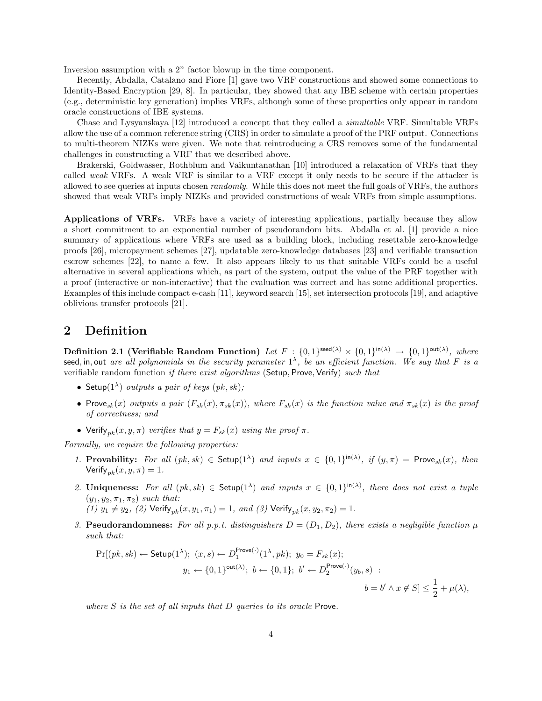Inversion assumption with a  $2<sup>n</sup>$  factor blowup in the time component.

Recently, Abdalla, Catalano and Fiore [1] gave two VRF constructions and showed some connections to Identity-Based Encryption [29, 8]. In particular, they showed that any IBE scheme with certain properties (e.g., deterministic key generation) implies VRFs, although some of these properties only appear in random oracle constructions of IBE systems.

Chase and Lysyanskaya [12] introduced a concept that they called a simultable VRF. Simultable VRFs allow the use of a common reference string (CRS) in order to simulate a proof of the PRF output. Connections to multi-theorem NIZKs were given. We note that reintroducing a CRS removes some of the fundamental challenges in constructing a VRF that we described above.

Brakerski, Goldwasser, Rothblum and Vaikuntanathan [10] introduced a relaxation of VRFs that they called weak VRFs. A weak VRF is similar to a VRF except it only needs to be secure if the attacker is allowed to see queries at inputs chosen randomly. While this does not meet the full goals of VRFs, the authors showed that weak VRFs imply NIZKs and provided constructions of weak VRFs from simple assumptions.

Applications of VRFs. VRFs have a variety of interesting applications, partially because they allow a short commitment to an exponential number of pseudorandom bits. Abdalla et al. [1] provide a nice summary of applications where VRFs are used as a building block, including resettable zero-knowledge proofs [26], micropayment schemes [27], updatable zero-knowledge databases [23] and verifiable transaction escrow schemes [22], to name a few. It also appears likely to us that suitable VRFs could be a useful alternative in several applications which, as part of the system, output the value of the PRF together with a proof (interactive or non-interactive) that the evaluation was correct and has some additional properties. Examples of this include compact e-cash [11], keyword search [15], set intersection protocols [19], and adaptive oblivious transfer protocols [21].

# 2 Definition

**Definition 2.1 (Verifiable Random Function)** Let  $F: \{0,1\}^{\text{seed}(\lambda)} \times \{0,1\}^{\text{in}(\lambda)} \rightarrow \{0,1\}^{\text{out}(\lambda)}$ , where seed, in, out are all polynomials in the security parameter  $1^{\lambda}$ , be an efficient function. We say that F is a verifiable random function if there exist algorithms (Setup, Prove, Verify) such that

- Setup $(1^{\lambda})$  outputs a pair of keys  $(pk, sk)$ ;
- Prove<sub>sk</sub> $(x)$  outputs a pair  $(F_{sk}(x), \pi_{sk}(x))$ , where  $F_{sk}(x)$  is the function value and  $\pi_{sk}(x)$  is the proof of correctness; and
- Verify<sub>nk</sub> $(x, y, \pi)$  verifies that  $y = F_{sk}(x)$  using the proof  $\pi$ .

Formally, we require the following properties:

- 1. Provability: For all  $(pk, sk) \in \mathsf{Setup}(1^{\lambda})$  and inputs  $x \in \{0, 1\}^{\mathsf{in}(\lambda)}$ , if  $(y, \pi) = \mathsf{Prove}_{sk}(x)$ , then Verify<sub>pk</sub> $(x, y, \pi) = 1$ .
- 2. Uniqueness: For all  $(pk, sk) \in \mathsf{Setup}(1^{\lambda})$  and inputs  $x \in \{0, 1\}^{\mathsf{in}(\lambda)}$ , there does not exist a tuple  $(y_1, y_2, \pi_1, \pi_2)$  such that:
	- (1)  $y_1 \neq y_2$ , (2) Verify<sub>pk</sub> $(x, y_1, \pi_1) = 1$ , and (3) Verify<sub>pk</sub> $(x, y_2, \pi_2) = 1$ .
- 3. Pseudorandomness: For all p.p.t. distinguishers  $D = (D_1, D_2)$ , there exists a negligible function  $\mu$ such that:

$$
\Pr[(pk, sk) \leftarrow \textsf{Setup}(1^{\lambda}); (x, s) \leftarrow D_1^{\textsf{Prove}(\cdot)}(1^{\lambda}, pk); y_0 = F_{sk}(x);
$$
  

$$
y_1 \leftarrow \{0, 1\}^{\textsf{out}(\lambda)}; b \leftarrow \{0, 1\}; b' \leftarrow D_2^{\textsf{Prove}(\cdot)}(y_b, s):
$$

$$
b = b' \land x \notin S] \le \frac{1}{2} + \mu(\lambda),
$$

where  $S$  is the set of all inputs that  $D$  queries to its oracle Prove.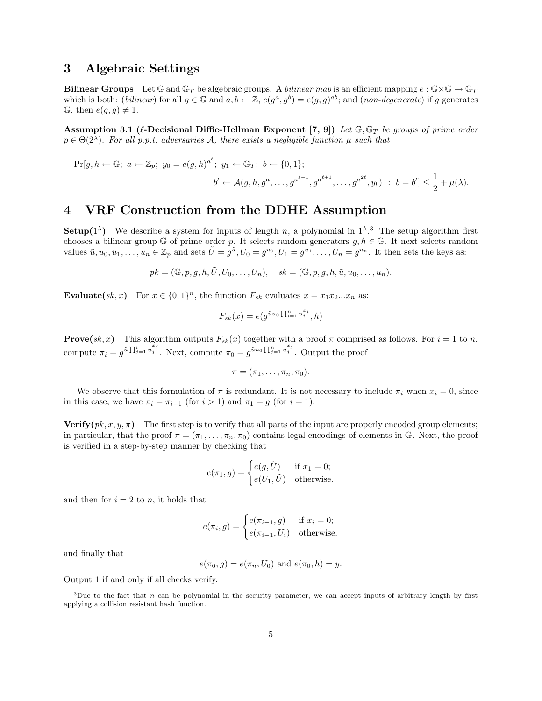# 3 Algebraic Settings

Bilinear Groups Let G and  $\mathbb{G}_T$  be algebraic groups. A *bilinear map* is an efficient mapping  $e : \mathbb{G} \times \mathbb{G} \to \mathbb{G}_T$ which is both: (*bilinear*) for all  $g \in \mathbb{G}$  and  $a, b \leftarrow \mathbb{Z}$ ,  $e(g^a, g^b) = e(g, g)^{ab}$ ; and (*non-degenerate*) if g generates  $\mathbb{G}$ , then  $e(q, q) \neq 1$ .

Assumption 3.1 ( $\ell$ -Decisional Diffie-Hellman Exponent [7, 9]) Let  $\mathbb{G}, \mathbb{G}_T$  be groups of prime order  $p \in \Theta(2^{\lambda})$ . For all p.p.t. adversaries A, there exists a negligible function  $\mu$  such that

$$
\Pr[g, h \leftarrow \mathbb{G}; \ a \leftarrow \mathbb{Z}_p; \ y_0 = e(g, h)^{a^{\ell}}; \ y_1 \leftarrow \mathbb{G}_T; \ b \leftarrow \{0, 1\};
$$
\n
$$
b' \leftarrow \mathcal{A}(g, h, g^a, \dots, g^{a^{\ell-1}}, g^{a^{\ell+1}}, \dots, g^{a^{2\ell}}, y_b) \ : \ b = b' \le \frac{1}{2} + \mu(\lambda).
$$

# 4 VRF Construction from the DDHE Assumption

**Setup**(1<sup> $\lambda$ </sup>) We describe a system for inputs of length n, a polynomial in  $1^{\lambda}$ .<sup>3</sup> The setup algorithm first chooses a bilinear group G of prime order p. It selects random generators  $g, h \in \mathbb{G}$ . It next selects random values  $\tilde{u}, u_0, u_1, \ldots, u_n \in \mathbb{Z}_p$  and sets  $\tilde{U} = g^{\tilde{u}}, U_0 = g^{u_0}, U_1 = g^{u_1}, \ldots, U_n = g^{u_n}$ . It then sets the keys as:

$$
pk = (\mathbb{G}, p, g, h, \tilde{U}, U_0, \dots, U_n), \quad sk = (\mathbb{G}, p, g, h, \tilde{u}, u_0, \dots, u_n).
$$

**Evaluate** $(k, x)$  For  $x \in \{0, 1\}^n$ , the function  $F_{sk}$  evaluates  $x = x_1 x_2 ... x_n$  as:

$$
F_{sk}(x) = e(g^{\tilde{u}u_0 \prod_{i=1}^n u_i^{x_i}}, h)
$$

**Prove**(sk, x) This algorithm outputs  $F_{sk}(x)$  together with a proof  $\pi$  comprised as follows. For  $i = 1$  to n, compute  $\pi_i = g^{\tilde{u}} \prod_{j=1}^i u_j^{\tilde{x}_j}$ . Next, compute  $\pi_0 = g^{\tilde{u}u_0} \prod_{j=1}^i u_j^{\tilde{x}_j}$ . Output the proof

$$
\pi=(\pi_1,\ldots,\pi_n,\pi_0).
$$

We observe that this formulation of  $\pi$  is redundant. It is not necessary to include  $\pi_i$  when  $x_i = 0$ , since in this case, we have  $\pi_i = \pi_{i-1}$  (for  $i > 1$ ) and  $\pi_1 = g$  (for  $i = 1$ ).

**Verify** $(pk, x, y, \pi)$  The first step is to verify that all parts of the input are properly encoded group elements; in particular, that the proof  $\pi = (\pi_1, \ldots, \pi_n, \pi_0)$  contains legal encodings of elements in G. Next, the proof is verified in a step-by-step manner by checking that

$$
e(\pi_1, g) = \begin{cases} e(g, \tilde{U}) & \text{if } x_1 = 0; \\ e(U_1, \tilde{U}) & \text{otherwise.} \end{cases}
$$

and then for  $i = 2$  to n, it holds that

$$
e(\pi_i, g) = \begin{cases} e(\pi_{i-1}, g) & \text{if } x_i = 0; \\ e(\pi_{i-1}, U_i) & \text{otherwise.} \end{cases}
$$

and finally that

$$
e(\pi_0, g) = e(\pi_n, U_0)
$$
 and  $e(\pi_0, h) = y$ .

Output 1 if and only if all checks verify.

<sup>&</sup>lt;sup>3</sup>Due to the fact that n can be polynomial in the security parameter, we can accept inputs of arbitrary length by first applying a collision resistant hash function.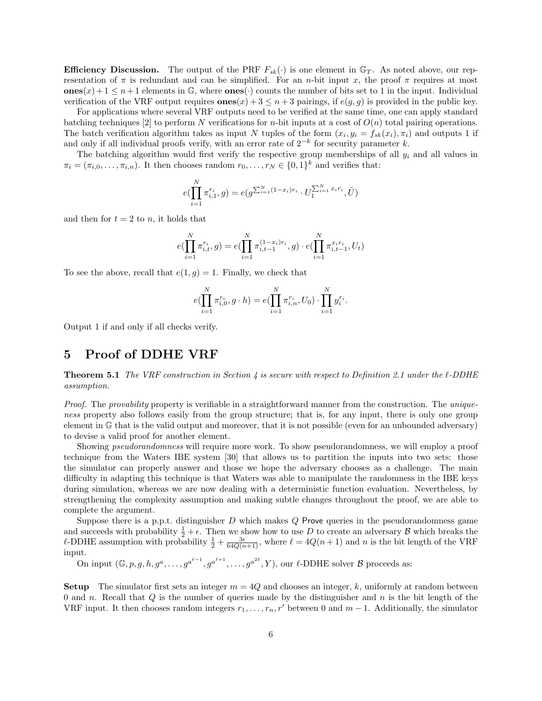**Efficiency Discussion.** The output of the PRF  $F_{sk}(\cdot)$  is one element in  $\mathbb{G}_T$ . As noted above, our representation of  $\pi$  is redundant and can be simplified. For an *n*-bit input x, the proof  $\pi$  requires at most ones $(x) + 1 \leq n+1$  elements in G, where ones $(\cdot)$  counts the number of bits set to 1 in the input. Individual verification of the VRF output requires  $\textbf{ones}(x) + 3 \leq n+3$  pairings, if  $e(g, g)$  is provided in the public key.

For applications where several VRF outputs need to be verified at the same time, one can apply standard batching techniques [2] to perform N verifications for n-bit inputs at a cost of  $O(n)$  total pairing operations. The batch verification algorithm takes as input N tuples of the form  $(x_i, y_i = f_{sk}(x_i), \pi_i)$  and outputs 1 if and only if all individual proofs verify, with an error rate of  $2^{-k}$  for security parameter k.

The batching algorithm would first verify the respective group memberships of all  $y_i$  and all values in  $\pi_i = (\pi_{i,0}, \ldots, \pi_{i,n}).$  It then chooses random  $r_0, \ldots, r_N \in \{0,1\}^k$  and verifies that:

$$
e(\prod_{i=1}^{N} \pi_{i,1}^{r_i}, g) = e(g^{\sum_{i=1}^{N} (1-x_i)r_i} \cdot U_1^{\sum_{i=1}^{N} x_i r_i}, \tilde{U})
$$

and then for  $t = 2$  to n, it holds that

$$
e(\prod_{i=1}^{N} \pi_{i,t}^{r_i}, g) = e(\prod_{i=1}^{N} \pi_{i,t-1}^{(1-x_i)r_i}, g) \cdot e(\prod_{i=1}^{N} \pi_{i,t-1}^{x_i r_i}, U_t)
$$

To see the above, recall that  $e(1, g) = 1$ . Finally, we check that

$$
e(\prod_{i=1}^N \pi_{i,0}^{r_i}, g \cdot h) = e(\prod_{i=1}^N \pi_{i,n}^{r_i}, U_0) \cdot \prod_{i=1}^N y_i^{r_i}.
$$

Output 1 if and only if all checks verify.

# 5 Proof of DDHE VRF

**Theorem 5.1** The VRF construction in Section 4 is secure with respect to Definition 2.1 under the  $\ell$ -DDHE assumption.

Proof. The provability property is verifiable in a straightforward manner from the construction. The uniqueness property also follows easily from the group structure; that is, for any input, there is only one group element in G that is the valid output and moreover, that it is not possible (even for an unbounded adversary) to devise a valid proof for another element.

Showing pseudorandomness will require more work. To show pseudorandomness, we will employ a proof technique from the Waters IBE system [30] that allows us to partition the inputs into two sets: those the simulator can properly answer and those we hope the adversary chooses as a challenge. The main difficulty in adapting this technique is that Waters was able to manipulate the randomness in the IBE keys during simulation, whereas we are now dealing with a deterministic function evaluation. Nevertheless, by strengthening the complexity assumption and making subtle changes throughout the proof, we are able to complete the argument.

Suppose there is a p.p.t. distinguisher  $D$  which makes  $Q$  Prove queries in the pseudorandomness game and succeeds with probability  $\frac{1}{2} + \epsilon$ . Then we show how to use D to create an adversary B which breaks the  $\ell$ -DDHE assumption with probability  $\frac{1}{2} + \frac{3\epsilon}{64Q(n+1)}$ , where  $\ell = 4Q(n+1)$  and n is the bit length of the VRF input.

On input  $(\mathbb{G}, p, g, h, g^a, \ldots, g^{a^{\ell-1}}, g^{a^{\ell+1}}, \ldots, g^{a^{2\ell}}, Y)$ , our  $\ell$ -DDHE solver  $\mathcal B$  proceeds as:

**Setup** The simulator first sets an integer  $m = 4Q$  and chooses an integer, k, uniformly at random between 0 and n. Recall that  $Q$  is the number of queries made by the distinguisher and n is the bit length of the VRF input. It then chooses random integers  $r_1, \ldots, r_n, r'$  between 0 and  $m - 1$ . Additionally, the simulator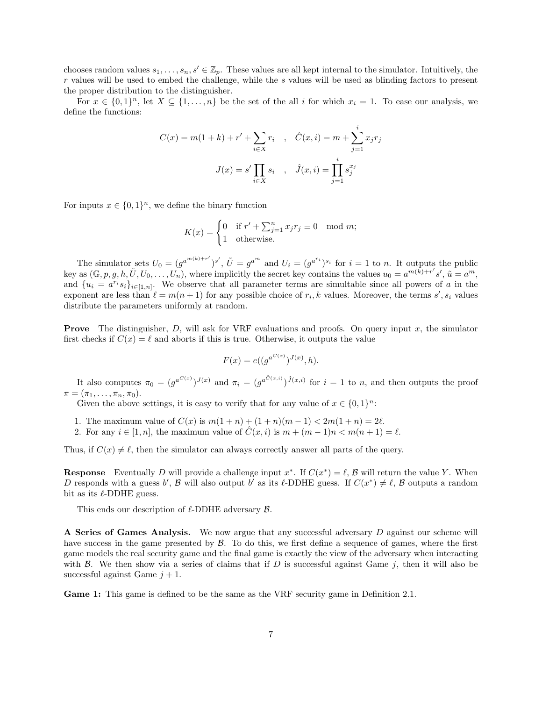chooses random values  $s_1, \ldots, s_n, s' \in \mathbb{Z}_p$ . These values are all kept internal to the simulator. Intuitively, the r values will be used to embed the challenge, while the s values will be used as blinding factors to present the proper distribution to the distinguisher.

For  $x \in \{0,1\}^n$ , let  $X \subseteq \{1,\ldots,n\}$  be the set of the all i for which  $x_i = 1$ . To ease our analysis, we define the functions:

$$
C(x) = m(1 + k) + r' + \sum_{i \in X} r_i , \quad \hat{C}(x, i) = m + \sum_{j=1}^{i} x_j r_j
$$

$$
J(x) = s' \prod_{i \in X} s_i , \quad \hat{J}(x, i) = \prod_{j=1}^{i} s_j^{x_j}
$$

For inputs  $x \in \{0,1\}^n$ , we define the binary function

$$
K(x) = \begin{cases} 0 & \text{if } r' + \sum_{j=1}^{n} x_j r_j \equiv 0 \mod m; \\ 1 & \text{otherwise.} \end{cases}
$$

The simulator sets  $U_0 = (g^{a^{m(k)+r'}})^{s'}$ ,  $\tilde{U} = g^{a^m}$  and  $U_i = (g^{a^{r_i}})^{s_i}$  for  $i = 1$  to n. It outputs the public key as  $(\mathbb{G}, p, g, h, \tilde{U}, U_0, \ldots, U_n)$ , where implicitly the secret key contains the values  $u_0 = a^{m(\tilde{k}) + r'} s'$ ,  $\tilde{u} = a^m$ , and  $\{u_i = a^{r_i} s_i\}_{i \in [1,n]}$ . We observe that all parameter terms are simultable since all powers of a in the exponent are less than  $\ell = m(n + 1)$  for any possible choice of  $r_i, k$  values. Moreover, the terms  $s', s_i$  values distribute the parameters uniformly at random.

**Prove** The distinguisher, D, will ask for VRF evaluations and proofs. On query input x, the simulator first checks if  $C(x) = \ell$  and aborts if this is true. Otherwise, it outputs the value

$$
F(x) = e((g^{a^{C(x)}})^{J(x)}, h).
$$

It also computes  $\pi_0 = (g^{a^{C(x)}})^{J(x)}$  and  $\pi_i = (g^{a^{\hat{C}(x,i)}})^{\hat{J}(x,i)}$  for  $i = 1$  to n, and then outputs the proof  $\pi = (\pi_1, \ldots, \pi_n, \pi_0).$ 

Given the above settings, it is easy to verify that for any value of  $x \in \{0,1\}^n$ :

1. The maximum value of  $C(x)$  is  $m(1 + n) + (1 + n)(m - 1) < 2m(1 + n) = 2\ell$ .

2. For any  $i \in [1, n]$ , the maximum value of  $\hat{C}(x, i)$  is  $m + (m - 1)n < m(n + 1) = \ell$ .

Thus, if  $C(x) \neq \ell$ , then the simulator can always correctly answer all parts of the query.

**Response** Eventually D will provide a challenge input  $x^*$ . If  $C(x^*) = \ell$ , B will return the value Y. When D responds with a guess b', B will also output b' as its  $\ell$ -DDHE guess. If  $C(x^*) \neq \ell$ , B outputs a random bit as its  $\ell$ -DDHE guess.

This ends our description of  $\ell$ -DDHE adversary  $\beta$ .

A Series of Games Analysis. We now argue that any successful adversary D against our scheme will have success in the game presented by  $\beta$ . To do this, we first define a sequence of games, where the first game models the real security game and the final game is exactly the view of the adversary when interacting with B. We then show via a series of claims that if D is successful against Game  $j$ , then it will also be successful against Game  $j + 1$ .

Game 1: This game is defined to be the same as the VRF security game in Definition 2.1.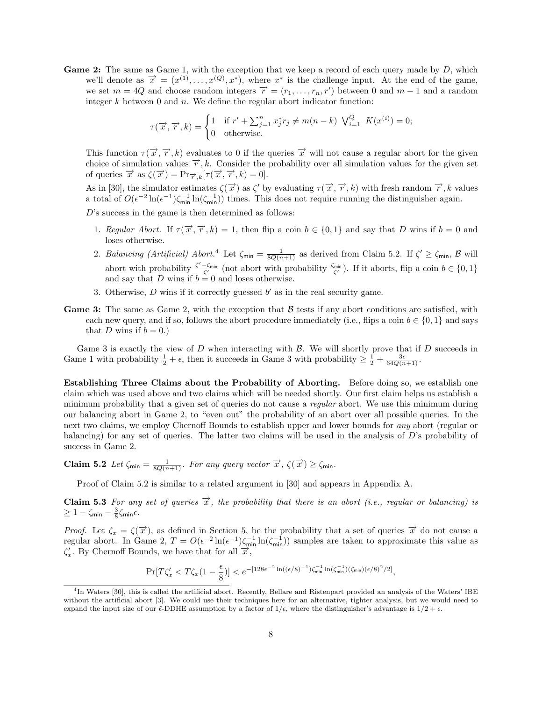Game 2: The same as Game 1, with the exception that we keep a record of each query made by D, which we'll denote as  $\vec{x} = (x^{(1)}, \ldots, x^{(Q)}, x^*)$ , where  $x^*$  is the challenge input. At the end of the game, we set  $m = 4Q$  and choose random integers  $\vec{r} = (r_1, \ldots, r_n, r')$  between 0 and  $m - 1$  and a random integer  $k$  between 0 and  $n$ . We define the regular abort indicator function:

$$
\tau(\overrightarrow{x}, \overrightarrow{r}, k) = \begin{cases} 1 & \text{if } r' + \sum_{j=1}^{n} x_j^* r_j \neq m(n-k) \ \sqrt{Q} & \text{if } K(x^{(i)}) = 0; \\ 0 & \text{otherwise.} \end{cases}
$$

This function  $\tau(\vec{x}, \vec{r}, k)$  evaluates to 0 if the queries  $\vec{x}$  will not cause a regular abort for the given choice of simulation values  $\vec{r}$ , k. Consider the probability over all simulation values for the given set of queries  $\vec{x}$  as  $\zeta(\vec{x}) = Pr_{\vec{r},k}[\tau(\vec{x},\vec{r},k) = 0].$ 

As in [30], the simulator estimates  $\zeta(\vec{x})$  as  $\zeta'$  by evaluating  $\tau(\vec{x}, \vec{r}, k)$  with fresh random  $\vec{r}$ , k values a total of  $O(\epsilon^{-2} \ln(\epsilon^{-1}) \zeta_{\min}^{-1} \ln(\zeta_{\min}^{-1}))$  times. This does not require running the distinguisher again.

D's success in the game is then determined as follows:

- 1. Regular Abort. If  $\tau(\vec{x}, \vec{r}, k) = 1$ , then flip a coin  $b \in \{0, 1\}$  and say that D wins if  $b = 0$  and loses otherwise.
- 2. Balancing (Artificial) Abort.<sup>4</sup> Let  $\zeta_{\min} = \frac{1}{8Q(n+1)}$  as derived from Claim 5.2. If  $\zeta' \ge \zeta_{\min}$ , B will abort with probability  $\frac{\zeta'-\zeta_{\min}}{\zeta'}$  (not abort with probability  $\frac{\zeta_{\min}}{\zeta'}$ ). If it aborts, flip a coin  $b \in \{0,1\}$ and say that D wins if  $b = 0$  and loses otherwise.
- 3. Otherwise,  $D$  wins if it correctly guessed  $b'$  as in the real security game.
- **Game 3:** The same as Game 2, with the exception that  $\beta$  tests if any abort conditions are satisfied, with each new query, and if so, follows the abort procedure immediately (i.e., flips a coin  $b \in \{0,1\}$  and says that D wins if  $b = 0.$ )

Game 3 is exactly the view of D when interacting with  $\beta$ . We will shortly prove that if D succeeds in Game 1 with probability  $\frac{1}{2} + \epsilon$ , then it succeeds in Game 3 with probability  $\geq \frac{1}{2} + \frac{3\epsilon}{64Q(n+1)}$ .

Establishing Three Claims about the Probability of Aborting. Before doing so, we establish one claim which was used above and two claims which will be needed shortly. Our first claim helps us establish a minimum probability that a given set of queries do not cause a *regular* abort. We use this minimum during our balancing abort in Game 2, to "even out" the probability of an abort over all possible queries. In the next two claims, we employ Chernoff Bounds to establish upper and lower bounds for any abort (regular or balancing) for any set of queries. The latter two claims will be used in the analysis of D's probability of success in Game 2.

**Claim 5.2** Let  $\zeta_{\min} = \frac{1}{8Q(n+1)}$ . For any query vector  $\vec{x}$ ,  $\zeta(\vec{x}) \geq \zeta_{\min}$ .

Proof of Claim 5.2 is similar to a related argument in [30] and appears in Appendix A.

Claim 5.3 For any set of queries  $\vec{x}$ , the probability that there is an abort (i.e., regular or balancing) is  $\geq 1-\zeta_{\sf min}-\frac{3}{8}\zeta_{\sf min}\epsilon.$ 

*Proof.* Let  $\zeta_x = \zeta(\vec{x})$ , as defined in Section 5, be the probability that a set of queries  $\vec{x}$  do not cause a regular abort. In Game 2,  $T = O(\epsilon^{-2} \ln(\epsilon^{-1}) \zeta_{\min}^{-1} \ln(\zeta_{\min}^{-1}))$  samples are taken to approximate this value as  $\zeta_x'$ . By Chernoff Bounds, we have that for all  $\overrightarrow{x}$ ,

$$
\Pr[T\zeta_x'
$$

<sup>&</sup>lt;sup>4</sup>In Waters [30], this is called the artificial abort. Recently, Bellare and Ristenpart provided an analysis of the Waters' IBE without the artificial abort [3]. We could use their techniques here for an alternative, tighter analysis, but we would need to expand the input size of our  $\ell$ -DDHE assumption by a factor of  $1/\epsilon$ , where the distinguisher's advantage is  $1/2 + \epsilon$ .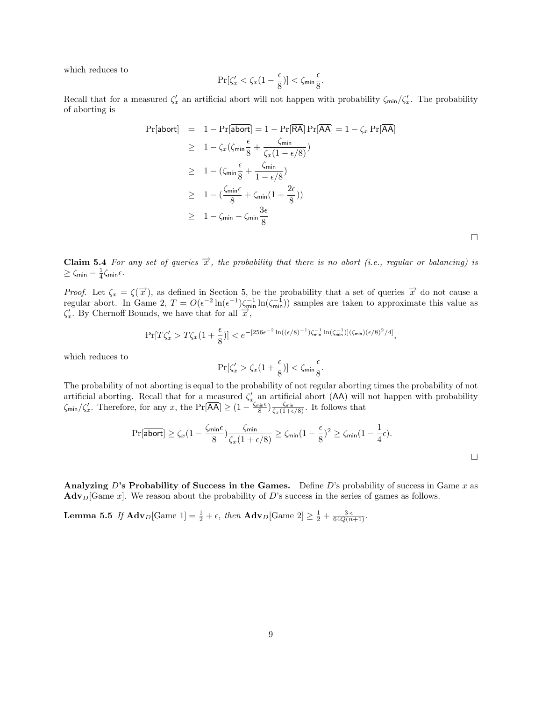which reduces to

$$
\Pr[\zeta_x'<\zeta_x(1-\frac{\epsilon}{8})]<\zeta_{\min}\frac{\epsilon}{8}.
$$

Recall that for a measured  $\zeta'_x$  an artificial abort will not happen with probability  $\zeta_{\min}/\zeta'_x$ . The probability of aborting is

$$
\Pr[\text{abort}] = 1 - \Pr[\overline{\text{abort}}] = 1 - \Pr[\overline{\text{RA}}] \Pr[\overline{\text{AA}}] = 1 - \zeta_x \Pr[\overline{\text{AA}}]
$$
\n
$$
\geq 1 - \zeta_x (\zeta_{\text{min}} \frac{\epsilon}{8} + \frac{\zeta_{\text{min}}}{\zeta_x (1 - \epsilon/8)})
$$
\n
$$
\geq 1 - (\zeta_{\text{min}} \frac{\epsilon}{8} + \frac{\zeta_{\text{min}}}{1 - \epsilon/8})
$$
\n
$$
\geq 1 - (\frac{\zeta_{\text{min}} \epsilon}{8} + \zeta_{\text{min}} (1 + \frac{2\epsilon}{8}))
$$
\n
$$
\geq 1 - \zeta_{\text{min}} - \zeta_{\text{min}} \frac{3\epsilon}{8}
$$

 $\Box$ 

Claim 5.4 For any set of queries  $\vec{x}$ , the probability that there is no abort (i.e., regular or balancing) is  $\geq \zeta_{\mathsf{min}} - \frac{1}{4} \zeta_{\mathsf{min}} \epsilon.$ 

*Proof.* Let  $\zeta_x = \zeta(\vec{x})$ , as defined in Section 5, be the probability that a set of queries  $\vec{x}$  do not cause a regular abort. In Game 2,  $T = O(\epsilon^{-2} \ln(\epsilon^{-1}) \zeta_{\min}^{-1} \ln(\zeta_{\min}^{-1}))$  samples are taken to approximate this value as  $\zeta_x'$ . By Chernoff Bounds, we have that for all  $\overrightarrow{x}$ ,

$$
\Pr[T\zeta_x'>T\zeta_x(1+\frac{\epsilon}{8})]
$$

which reduces to

$$
\Pr[\zeta_x'>\zeta_x(1+\frac{\epsilon}{8})]<\zeta_{\min}\frac{\epsilon}{8}.
$$

The probability of not aborting is equal to the probability of not regular aborting times the probability of not artificial aborting. Recall that for a measured  $\zeta'_{x}$  an artificial abort (AA) will not happen with probability  $\zeta_{\min}/\zeta_x'$ . Therefore, for any x, the Pr[ $\overline{AA}$ ]  $\geq (1 - \frac{\zeta_{\min}\epsilon}{8}) \frac{\zeta_{\min}}{\zeta_x(1 + \epsilon/8)}$ . It follows that

$$
\Pr[\overline{\mathsf{abort}}] \ge \zeta_x (1-\frac{\zeta_{\mathsf{min}} \epsilon}{8}) \frac{\zeta_{\mathsf{min}}}{\zeta_x (1+\epsilon/8)} \ge \zeta_{\mathsf{min}} (1-\frac{\epsilon}{8})^2 \ge \zeta_{\mathsf{min}} (1-\frac{1}{4}\epsilon).
$$

Analyzing D's Probability of Success in the Games. Define D's probability of success in Game  $x$  as  $\mathbf{Adv}_{D}[\text{Game } x]$ . We reason about the probability of D's success in the series of games as follows.

**Lemma 5.5** If  $\mathbf{Adv}_D[\text{Game 1}] = \frac{1}{2} + \epsilon$ , then  $\mathbf{Adv}_D[\text{Game 2}] \geq \frac{1}{2} + \frac{3 \cdot \epsilon}{64Q(n+1)}$ .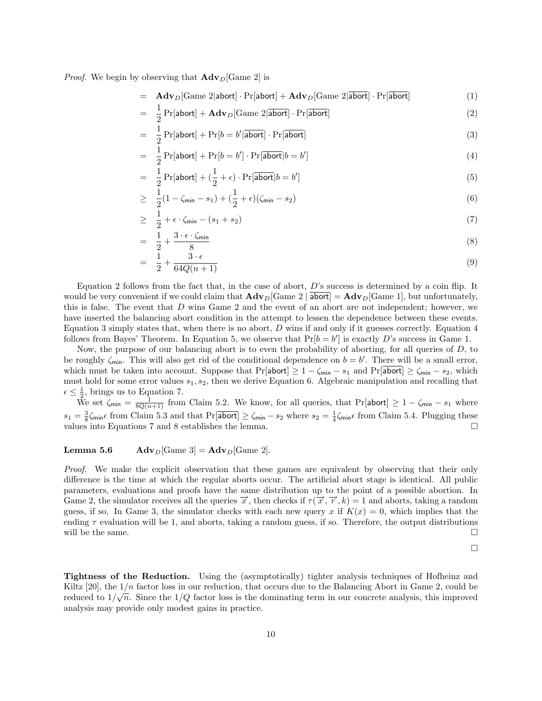*Proof.* We begin by observing that  $\mathbf{Adv}_D[\text{Game 2}]$  is

$$
= \mathbf{Adv}_D[\text{Game 2|abort}] \cdot \Pr[\text{abort}] + \mathbf{Adv}_D[\text{Game 2|abort}] \cdot \Pr[\text{abort}] \tag{1}
$$

$$
= \frac{1}{2} \Pr[\text{abort}] + \text{Adv}_D[\text{Game 2}|\overline{\text{abort}}] \cdot \Pr[\overline{\text{abort}}] \tag{2}
$$

$$
= \frac{1}{2} \Pr[\text{abort}] + \Pr[b = b' | \overline{\text{abort}}] \cdot \Pr[\overline{\text{abort}}] \tag{3}
$$

$$
= \frac{1}{2} \Pr[\text{abort}] + \Pr[b = b'] \cdot \Pr[\overline{\text{abort}}|b = b'] \tag{4}
$$

$$
= \frac{1}{2} \Pr[\text{abort}] + (\frac{1}{2} + \epsilon) \cdot \Pr[\overline{\text{abort}}|b = b'] \tag{5}
$$

$$
\geq \frac{1}{2}(1 - \zeta_{\min} - s_1) + (\frac{1}{2} + \epsilon)(\zeta_{\min} - s_2) \tag{6}
$$

$$
\geq \frac{1}{2} + \epsilon \cdot \zeta_{\min} - (s_1 + s_2) \tag{7}
$$

$$
= \frac{1}{2} + \frac{3 \cdot \epsilon \cdot \zeta_{\min}}{8} \tag{8}
$$

$$
\frac{2}{3} + \frac{3 \cdot \epsilon}{c_1 C (1 + 1)}
$$
 (9)

$$
= \frac{1}{2} + \frac{3}{64Q(n+1)}\tag{9}
$$

Equation 2 follows from the fact that, in the case of abort, D's success is determined by a coin flip. It would be very convenient if we could claim that  $\mathbf{Adv}_D[\text{Game 2} \mid \mathbf{abort}] = \mathbf{Adv}_D[\text{Game 1}],$  but unfortunately, this is false. The event that D wins Game 2 and the event of an abort are not independent; however, we have inserted the balancing abort condition in the attempt to lessen the dependence between these events. Equation 3 simply states that, when there is no abort,  $D$  wins if and only if it guesses correctly. Equation  $4$ follows from Bayes' Theorem. In Equation 5, we observe that  $Pr[b = b']$  is exactly D's success in Game 1.

Now, the purpose of our balancing abort is to even the probability of aborting, for all queries of  $D$ , to be roughly  $\zeta_{\min}$ . This will also get rid of the conditional dependence on  $b = b'$ . There will be a small error, which must be taken into account. Suppose that Pr[abort]  $\geq 1 - \zeta_{\min} - s_1$  and Pr[abort]  $\geq \zeta_{\min} - s_2$ , which must hold for some error values  $s_1, s_2$ , then we derive Equation 6. Algebraic manipulation and recalling that  $\epsilon \leq \frac{1}{2}$ , brings us to Equation 7.

We set  $\zeta_{\min} = \frac{1}{8Q(n+1)}$  from Claim 5.2. We know, for all queries, that Pr[abort]  $\geq 1 - \zeta_{\min} - s_1$  where  $s_1 = \frac{3}{8}\zeta_{\text{min}}\epsilon$  from Claim 5.3 and that  $\Pr[\overline{\text{abort}}] \ge \zeta_{\text{min}} - s_2$  where  $s_2 = \frac{1}{4}\zeta_{\text{min}}\epsilon$  from Claim 5.4. Plugging these values into Equations 7 and 8 establishes the lemma.  $\Box$ 

#### **Lemma 5.6** Adv<sub>D</sub>[Game 3] = Adv<sub>D</sub>[Game 2].

Proof. We make the explicit observation that these games are equivalent by observing that their only difference is the time at which the regular aborts occur. The artificial abort stage is identical. All public parameters, evaluations and proofs have the same distribution up to the point of a possible abortion. In Game 2, the simulator receives all the queries  $\vec{x}$ , then checks if  $\tau(\vec{x}, \vec{r}, k) = 1$  and aborts, taking a random guess, if so. In Game 3, the simulator checks with each new query x if  $K(x) = 0$ , which implies that the ending  $\tau$  evaluation will be 1, and aborts, taking a random guess, if so. Therefore, the output distributions will be the same.  $\Box$ 

 $\Box$ 

Tightness of the Reduction. Using the (asymptotically) tighter analysis techniques of Hofheinz and Kiltz [20], the  $1/n$  factor loss in our reduction, that occurs due to the Balancing Abort in Game 2, could be reduced to  $1/\sqrt{n}$ . Since the  $1/Q$  factor loss is the dominating term in our concrete analysis, this improved analysis may provide only modest gains in practice.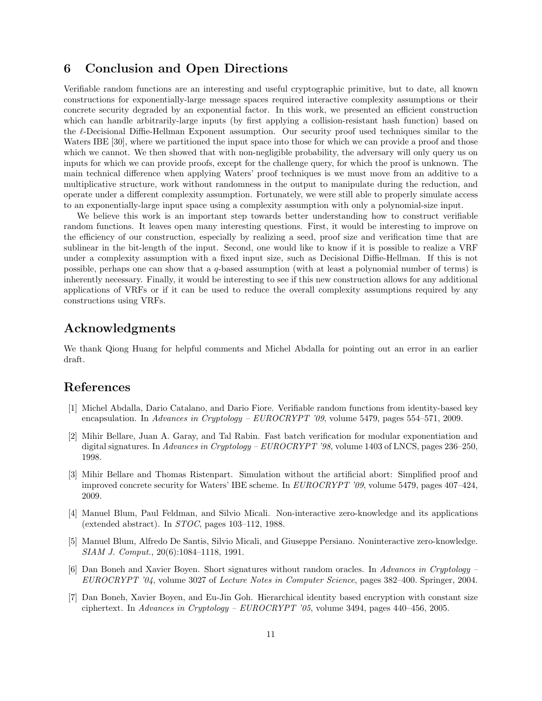### 6 Conclusion and Open Directions

Verifiable random functions are an interesting and useful cryptographic primitive, but to date, all known constructions for exponentially-large message spaces required interactive complexity assumptions or their concrete security degraded by an exponential factor. In this work, we presented an efficient construction which can handle arbitrarily-large inputs (by first applying a collision-resistant hash function) based on the  $\ell$ -Decisional Diffie-Hellman Exponent assumption. Our security proof used techniques similar to the Waters IBE [30], where we partitioned the input space into those for which we can provide a proof and those which we cannot. We then showed that with non-negligible probability, the adversary will only query us on inputs for which we can provide proofs, except for the challenge query, for which the proof is unknown. The main technical difference when applying Waters' proof techniques is we must move from an additive to a multiplicative structure, work without randomness in the output to manipulate during the reduction, and operate under a different complexity assumption. Fortunately, we were still able to properly simulate access to an exponentially-large input space using a complexity assumption with only a polynomial-size input.

We believe this work is an important step towards better understanding how to construct verifiable random functions. It leaves open many interesting questions. First, it would be interesting to improve on the efficiency of our construction, especially by realizing a seed, proof size and verification time that are sublinear in the bit-length of the input. Second, one would like to know if it is possible to realize a VRF under a complexity assumption with a fixed input size, such as Decisional Diffie-Hellman. If this is not possible, perhaps one can show that a q-based assumption (with at least a polynomial number of terms) is inherently necessary. Finally, it would be interesting to see if this new construction allows for any additional applications of VRFs or if it can be used to reduce the overall complexity assumptions required by any constructions using VRFs.

# Acknowledgments

We thank Qiong Huang for helpful comments and Michel Abdalla for pointing out an error in an earlier draft.

## References

- [1] Michel Abdalla, Dario Catalano, and Dario Fiore. Verifiable random functions from identity-based key encapsulation. In Advances in Cryptology – EUROCRYPT '09, volume 5479, pages 554–571, 2009.
- [2] Mihir Bellare, Juan A. Garay, and Tal Rabin. Fast batch verification for modular exponentiation and digital signatures. In Advances in Cryptology – EUROCRYPT '98, volume 1403 of LNCS, pages 236–250, 1998.
- [3] Mihir Bellare and Thomas Ristenpart. Simulation without the artificial abort: Simplified proof and improved concrete security for Waters' IBE scheme. In EUROCRYPT '09, volume 5479, pages 407–424, 2009.
- [4] Manuel Blum, Paul Feldman, and Silvio Micali. Non-interactive zero-knowledge and its applications (extended abstract). In  $STOC$ , pages 103-112, 1988.
- [5] Manuel Blum, Alfredo De Santis, Silvio Micali, and Giuseppe Persiano. Noninteractive zero-knowledge. SIAM J. Comput., 20(6):1084–1118, 1991.
- [6] Dan Boneh and Xavier Boyen. Short signatures without random oracles. In Advances in Cryptology EUROCRYPT '04, volume 3027 of Lecture Notes in Computer Science, pages 382–400. Springer, 2004.
- [7] Dan Boneh, Xavier Boyen, and Eu-Jin Goh. Hierarchical identity based encryption with constant size ciphertext. In Advances in Cryptology – EUROCRYPT '05, volume 3494, pages 440–456, 2005.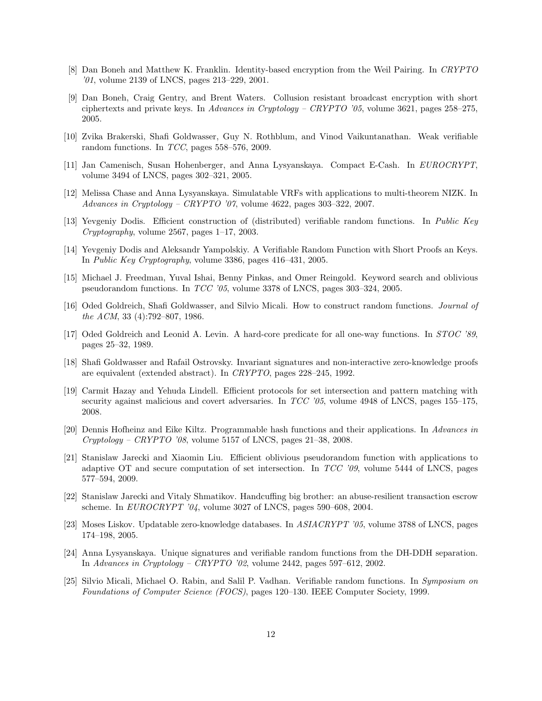- [8] Dan Boneh and Matthew K. Franklin. Identity-based encryption from the Weil Pairing. In CRYPTO '01, volume 2139 of LNCS, pages 213–229, 2001.
- [9] Dan Boneh, Craig Gentry, and Brent Waters. Collusion resistant broadcast encryption with short ciphertexts and private keys. In Advances in Cryptology – CRYPTO '05, volume 3621, pages 258–275, 2005.
- [10] Zvika Brakerski, Shafi Goldwasser, Guy N. Rothblum, and Vinod Vaikuntanathan. Weak verifiable random functions. In TCC, pages 558–576, 2009.
- [11] Jan Camenisch, Susan Hohenberger, and Anna Lysyanskaya. Compact E-Cash. In EUROCRYPT, volume 3494 of LNCS, pages 302–321, 2005.
- [12] Melissa Chase and Anna Lysyanskaya. Simulatable VRFs with applications to multi-theorem NIZK. In Advances in Cryptology – CRYPTO '07, volume 4622, pages 303–322, 2007.
- [13] Yevgeniy Dodis. Efficient construction of (distributed) verifiable random functions. In Public Key Cryptography, volume 2567, pages 1–17, 2003.
- [14] Yevgeniy Dodis and Aleksandr Yampolskiy. A Verifiable Random Function with Short Proofs an Keys. In Public Key Cryptography, volume 3386, pages 416–431, 2005.
- [15] Michael J. Freedman, Yuval Ishai, Benny Pinkas, and Omer Reingold. Keyword search and oblivious pseudorandom functions. In TCC '05, volume 3378 of LNCS, pages 303–324, 2005.
- [16] Oded Goldreich, Shafi Goldwasser, and Silvio Micali. How to construct random functions. Journal of the ACM, 33 (4):792–807, 1986.
- [17] Oded Goldreich and Leonid A. Levin. A hard-core predicate for all one-way functions. In STOC '89, pages 25–32, 1989.
- [18] Shafi Goldwasser and Rafail Ostrovsky. Invariant signatures and non-interactive zero-knowledge proofs are equivalent (extended abstract). In CRYPTO, pages 228–245, 1992.
- [19] Carmit Hazay and Yehuda Lindell. Efficient protocols for set intersection and pattern matching with security against malicious and covert adversaries. In  $TCC$  '05, volume 4948 of LNCS, pages 155–175. 2008.
- [20] Dennis Hofheinz and Eike Kiltz. Programmable hash functions and their applications. In Advances in  $Cryptography - C RYPTO$  '08, volume 5157 of LNCS, pages 21–38, 2008.
- [21] Stanislaw Jarecki and Xiaomin Liu. Efficient oblivious pseudorandom function with applications to adaptive OT and secure computation of set intersection. In TCC '09, volume 5444 of LNCS, pages 577–594, 2009.
- [22] Stanislaw Jarecki and Vitaly Shmatikov. Handcuffing big brother: an abuse-resilient transaction escrow scheme. In  $EUROCRYPT'04$ , volume 3027 of LNCS, pages 590–608, 2004.
- [23] Moses Liskov. Updatable zero-knowledge databases. In ASIACRYPT '05, volume 3788 of LNCS, pages 174–198, 2005.
- [24] Anna Lysyanskaya. Unique signatures and verifiable random functions from the DH-DDH separation. In Advances in Cryptology – CRYPTO '02, volume 2442, pages 597–612, 2002.
- [25] Silvio Micali, Michael O. Rabin, and Salil P. Vadhan. Verifiable random functions. In Symposium on Foundations of Computer Science (FOCS), pages 120–130. IEEE Computer Society, 1999.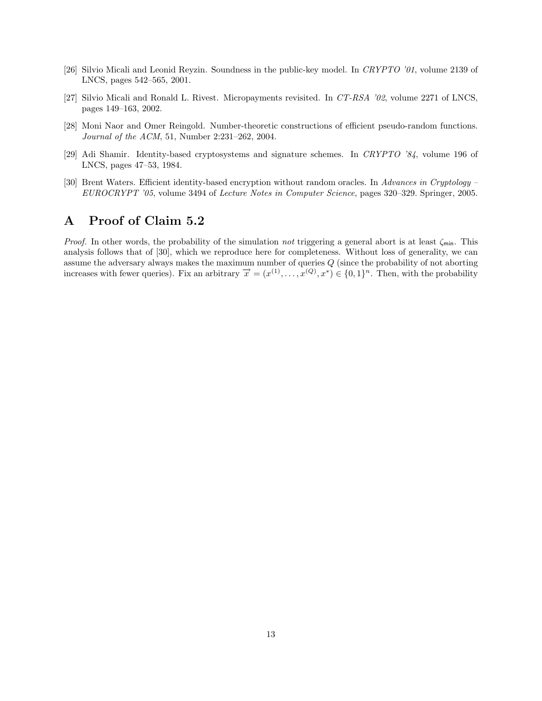- [26] Silvio Micali and Leonid Reyzin. Soundness in the public-key model. In CRYPTO '01, volume 2139 of LNCS, pages 542–565, 2001.
- [27] Silvio Micali and Ronald L. Rivest. Micropayments revisited. In CT-RSA '02, volume 2271 of LNCS, pages 149–163, 2002.
- [28] Moni Naor and Omer Reingold. Number-theoretic constructions of efficient pseudo-random functions. Journal of the ACM, 51, Number 2:231–262, 2004.
- [29] Adi Shamir. Identity-based cryptosystems and signature schemes. In CRYPTO '84, volume 196 of LNCS, pages 47–53, 1984.
- [30] Brent Waters. Efficient identity-based encryption without random oracles. In Advances in Cryptology EUROCRYPT '05, volume 3494 of Lecture Notes in Computer Science, pages 320–329. Springer, 2005.

# A Proof of Claim 5.2

*Proof.* In other words, the probability of the simulation not triggering a general abort is at least  $\zeta_{\text{min}}$ . This analysis follows that of [30], which we reproduce here for completeness. Without loss of generality, we can assume the adversary always makes the maximum number of queries Q (since the probability of not aborting increases with fewer queries). Fix an arbitrary  $\overrightarrow{x} = (x^{(1)}, \ldots, x^{(Q)}, x^*) \in \{0, 1\}^n$ . Then, with the probability